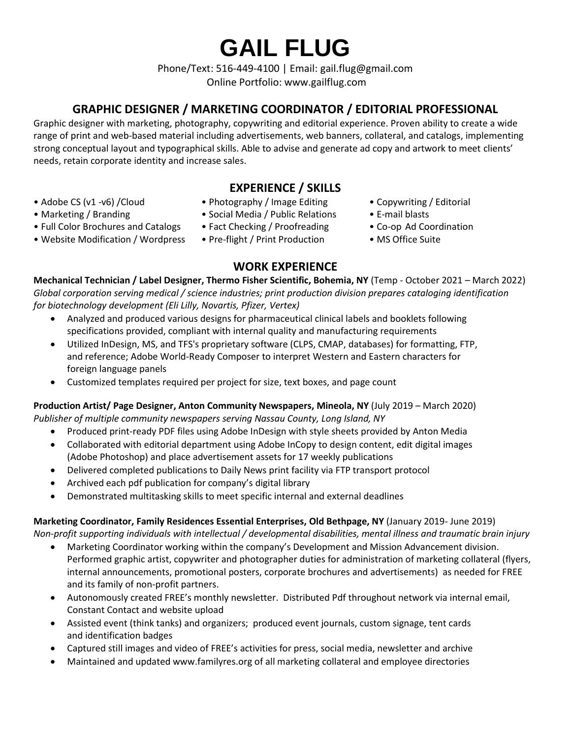**GAIL FLUG**

Phone/Text: 516-449-4100 | Email: gail.flug@gmail.com Online Portfolio: www.gailflug.com

# **GRAPHIC DESIGNER / MARKETING COORDINATOR / EDITORIAL PROFESSIONAL**

Graphic designer with marketing, photography, copywriting and editorial experience. Proven ability to create a wide range of print and web-based material including advertisements, web banners, collateral, and catalogs, implementing strong conceptual layout and typographical skills. Able to advise and generate ad copy and artwork to meet clients' needs, retain corporate identity and increase sales.

# **EXPERIENCE / SKILLS**

- 
- 
- Full Color Brochures and Catalogs Fact Checking / Proofreading Co-op Ad Coordination
- Website Modification / Wordpress Pre-flight / Print Production MS Office Suite
- Adobe CS (v1 -v6) /Cloud Photography / Image Editing Copywriting / Editorial
- Marketing / Branding Social Media / Public Relations E-mail blasts
	-
	-
- 
- 
- 
- 

**WORK EXPERIENCE Mechanical Technician / Label Designer, Thermo Fisher Scientific, Bohemia, NY** (Temp - October 2021 – March 2022) *Global corporation serving medical / science industries; print production division prepares cataloging identification for biotechnology development (Eli Lilly, Novartis, Pfizer, Vertex)* 

- Analyzed and produced various designs for pharmaceutical clinical labels and booklets following specifications provided, compliant with internal quality and manufacturing requirements
- Utilized InDesign, MS, and TFS's proprietary software (CLPS, CMAP, databases) for formatting, FTP, and reference; Adobe World-Ready Composer to interpret Western and Eastern characters for foreign language panels
- Customized templates required per project for size, text boxes, and page count

# **Production Artist/ Page Designer, Anton Community Newspapers, Mineola, NY** (July 2019 – March 2020)

*Publisher of multiple community newspapers serving Nassau County, Long Island, NY*

- Produced print-ready PDF files using Adobe InDesign with style sheets provided by Anton Media
- Collaborated with editorial department using Adobe InCopy to design content, edit digital images (Adobe Photoshop) and place advertisement assets for 17 weekly publications
- Delivered completed publications to Daily News print facility via FTP transport protocol
- Archived each pdf publication for company's digital library
- Demonstrated multitasking skills to meet specific internal and external deadlines

# **Marketing Coordinator, Family Residences Essential Enterprises, Old Bethpage, NY** (January 2019- June 2019)

*Non-profit supporting individuals with intellectual / developmental disabilities, mental illness and traumatic brain injury*

- Marketing Coordinator working within the company's Development and Mission Advancement division. Performed graphic artist, copywriter and photographer duties for administration of marketing collateral (flyers, internal announcements, promotional posters, corporate brochures and advertisements) as needed for FREE and its family of non-profit partners.
- Autonomously created FREE's monthly newsletter. Distributed Pdf throughout network via internal email, Constant Contact and website upload
- Assisted event (think tanks) and organizers; produced event journals, custom signage, tent cards and identification badges
- Captured still images and video of FREE's activities for press, social media, newsletter and archive
- Maintained and updated www.familyres.org of all marketing collateral and employee directories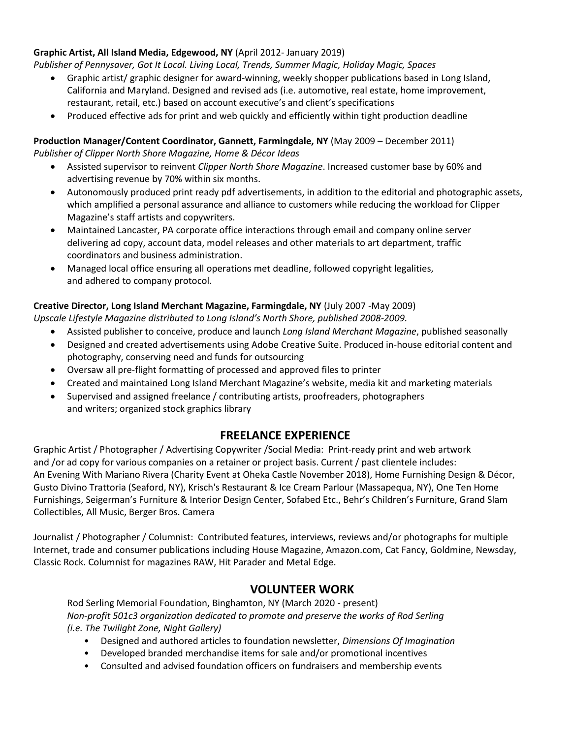#### **Graphic Artist, All Island Media, Edgewood, NY** (April 2012- January 2019)

*Publisher of Pennysaver, Got It Local. Living Local, Trends, Summer Magic, Holiday Magic, Spaces* 

- Graphic artist/ graphic designer for award-winning, weekly shopper publications based in Long Island, California and Maryland. Designed and revised ads (i.e. automotive, real estate, home improvement, restaurant, retail, etc.) based on account executive's and client's specifications
- Produced effective ads for print and web quickly and efficiently within tight production deadline

#### **Production Manager/Content Coordinator, Gannett, Farmingdale, NY** (May 2009 – December 2011) *Publisher of Clipper North Shore Magazine, Home & Décor Ideas*

- Assisted supervisor to reinvent *Clipper North Shore Magazine*. Increased customer base by 60% and advertising revenue by 70% within six months.
- Autonomously produced print ready pdf advertisements, in addition to the editorial and photographic assets, which amplified a personal assurance and alliance to customers while reducing the workload for Clipper Magazine's staff artists and copywriters.
- Maintained Lancaster, PA corporate office interactions through email and company online server delivering ad copy, account data, model releases and other materials to art department, traffic coordinators and business administration.
- Managed local office ensuring all operations met deadline, followed copyright legalities, and adhered to company protocol.

#### **Creative Director, Long Island Merchant Magazine, Farmingdale, NY** (July 2007 -May 2009)

*Upscale Lifestyle Magazine distributed to Long Island's North Shore, published 2008-2009.*

- Assisted publisher to conceive, produce and launch *Long Island Merchant Magazine*, published seasonally
- Designed and created advertisements using Adobe Creative Suite. Produced in-house editorial content and photography, conserving need and funds for outsourcing
- Oversaw all pre-flight formatting of processed and approved files to printer
- Created and maintained Long Island Merchant Magazine's website, media kit and marketing materials
- Supervised and assigned freelance / contributing artists, proofreaders, photographers and writers; organized stock graphics library

### **FREELANCE EXPERIENCE**

Graphic Artist / Photographer / Advertising Copywriter /Social Media: Print-ready print and web artwork and /or ad copy for various companies on a retainer or project basis. Current / past clientele includes: An Evening With Mariano Rivera (Charity Event at Oheka Castle November 2018), Home Furnishing Design & Décor, Gusto Divino Trattoria (Seaford, NY), Krisch's Restaurant & Ice Cream Parlour (Massapequa, NY), One Ten Home Furnishings, Seigerman's Furniture & Interior Design Center, Sofabed Etc., Behr's Children's Furniture, Grand Slam Collectibles, All Music, Berger Bros. Camera

Journalist / Photographer / Columnist: Contributed features, interviews, reviews and/or photographs for multiple Internet, trade and consumer publications including House Magazine, Amazon.com, Cat Fancy, Goldmine, Newsday, Classic Rock. Columnist for magazines RAW, Hit Parader and Metal Edge.

### **VOLUNTEER WORK**

Rod Serling Memorial Foundation, Binghamton, NY (March 2020 - present) *Non-profit 501c3 organization dedicated to promote and preserve the works of Rod Serling (i.e. The Twilight Zone, Night Gallery)* 

- Designed and authored articles to foundation newsletter, *Dimensions Of Imagination*
- Developed branded merchandise items for sale and/or promotional incentives
- Consulted and advised foundation officers on fundraisers and membership events